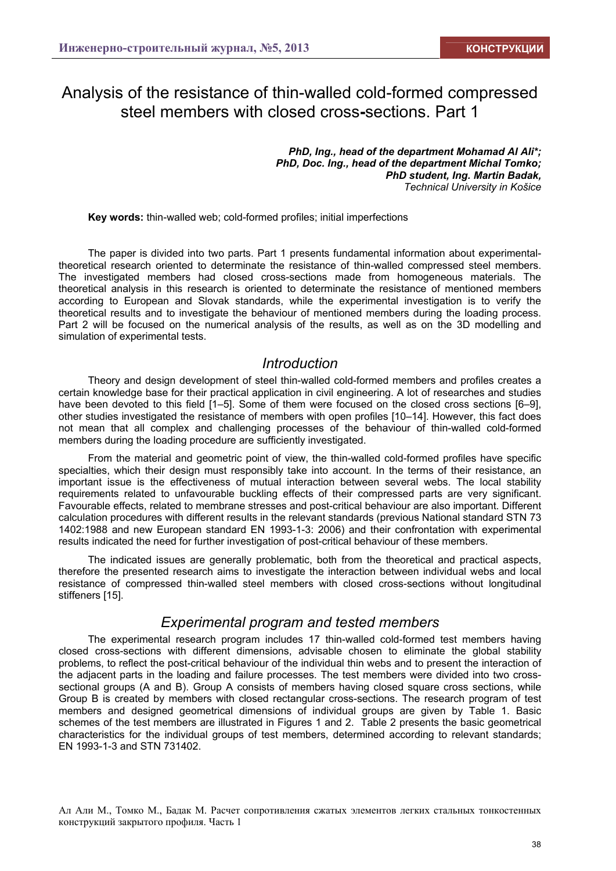# Analysis of the resistance of thin-walled cold-formed compressed steel members with closed cross**-**sections. Part 1

*PhD, Ing., head of the department Mohamad Al Ali\*; PhD, Doc. Ing., head of the department Michal Tomko; PhD student, Ing. Martin Badak, Technical University in Košice* 

**Key words:** thin-walled web; cold-formed profiles; initial imperfections

The paper is divided into two parts. Part 1 presents fundamental information about experimentaltheoretical research oriented to determinate the resistance of thin-walled compressed steel members. The investigated members had closed cross-sections made from homogeneous materials. The theoretical analysis in this research is oriented to determinate the resistance of mentioned members according to European and Slovak standards, while the experimental investigation is to verify the theoretical results and to investigate the behaviour of mentioned members during the loading process. Part 2 will be focused on the numerical analysis of the results, as well as on the 3D modelling and simulation of experimental tests.

### *Introduction*

Theory and design development of steel thin-walled cold-formed members and profiles creates a certain knowledge base for their practical application in civil engineering. A lot of researches and studies have been devoted to this field [1–5]. Some of them were focused on the closed cross sections [6–9], other studies investigated the resistance of members with open profiles [10–14]. However, this fact does not mean that all complex and challenging processes of the behaviour of thin-walled cold-formed members during the loading procedure are sufficiently investigated.

From the material and geometric point of view, the thin-walled cold-formed profiles have specific specialties, which their design must responsibly take into account. In the terms of their resistance, an important issue is the effectiveness of mutual interaction between several webs. The local stability requirements related to unfavourable buckling effects of their compressed parts are very significant. Favourable effects, related to membrane stresses and post-critical behaviour are also important. Different calculation procedures with different results in the relevant standards (previous National standard STN 73 1402:1988 and new European standard EN 1993-1-3: 2006) and their confrontation with experimental results indicated the need for further investigation of post-critical behaviour of these members.

The indicated issues are generally problematic, both from the theoretical and practical aspects, therefore the presented research aims to investigate the interaction between individual webs and local resistance of compressed thin-walled steel members with closed cross-sections without longitudinal stiffeners [15].

### *Experimental program and tested members*

The experimental research program includes 17 thin-walled cold-formed test members having closed cross-sections with different dimensions, advisable chosen to eliminate the global stability problems, to reflect the post-critical behaviour of the individual thin webs and to present the interaction of the adjacent parts in the loading and failure processes. The test members were divided into two crosssectional groups (A and B). Group A consists of members having closed square cross sections, while Group B is created by members with closed rectangular cross-sections. The research program of test members and designed geometrical dimensions of individual groups are given by Table 1. Basic schemes of the test members are illustrated in Figures 1 and 2. Table 2 presents the basic geometrical characteristics for the individual groups of test members, determined according to relevant standards; EN 1993-1-3 and STN 731402.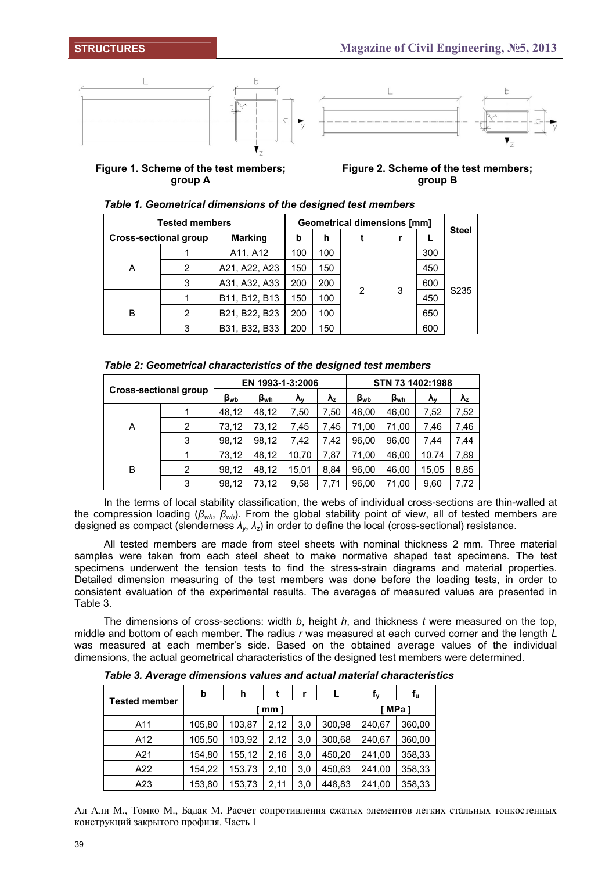



**Figure 1. Scheme of the test members; group A** 

**Figure 2. Scheme of the test members; group B** 

|                              | <b>Tested members</b> | <b>Geometrical dimensions [mm]</b> |     |     |   |   |     |                   |
|------------------------------|-----------------------|------------------------------------|-----|-----|---|---|-----|-------------------|
| <b>Cross-sectional group</b> |                       | <b>Marking</b>                     | b   | h   |   |   |     | <b>Steel</b>      |
| Α<br>B                       |                       | A11, A12                           | 100 | 100 |   |   | 300 |                   |
|                              | 2                     | A21, A22, A23                      | 150 | 150 |   |   | 450 |                   |
|                              | 3                     | A31, A32, A33                      | 200 | 200 |   |   | 600 |                   |
|                              |                       | B11, B12, B13                      | 150 | 100 | 2 | 3 | 450 | S <sub>2</sub> 35 |
|                              | 2                     | B21, B22, B23                      | 200 | 100 |   |   | 650 |                   |
|                              | 3                     | B31, B32, B33                      | 200 | 150 |   |   | 600 |                   |

|  |  | Table 1. Geometrical dimensions of the designed test members |
|--|--|--------------------------------------------------------------|
|  |  |                                                              |

|  | Table 2: Geometrical characteristics of the designed test members |  |  |
|--|-------------------------------------------------------------------|--|--|
|  |                                                                   |  |  |

| Cross-sectional group |   |                  | EN 1993-1-3:2006 |       |             | STN 73 1402:1988 |              |                   |             |  |
|-----------------------|---|------------------|------------------|-------|-------------|------------------|--------------|-------------------|-------------|--|
|                       |   | $\beta_{\rm wb}$ | β <sub>wh</sub>  | λv    | $\lambda_z$ | $B_{wb}$         | $\beta_{wh}$ | $\lambda_{\rm v}$ | $\lambda_z$ |  |
| A                     |   | 48,12            | 48,12            | 7,50  | 7,50        | 46.00            | 46.00        | 7,52              | 7,52        |  |
|                       | 2 | 73,12            | 73,12            | 7,45  | 7,45        | 71,00            | 71,00        | 7,46              | 7,46        |  |
|                       | 3 | 98,12            | 98,12            | 7,42  | 7,42        | 96,00            | 96.00        | 7,44              | 7,44        |  |
| B                     |   | 73,12            | 48,12            | 10,70 | 7,87        | 71.00            | 46,00        | 10.74             | 7,89        |  |
|                       | 2 | 98,12            | 48,12            | 15,01 | 8.84        | 96,00            | 46.00        | 15,05             | 8,85        |  |
|                       | 3 | 98,12            | 73,12            | 9,58  | 7,71        | 96.00            | 71.00        | 9,60              | 7,72        |  |

In the terms of local stability classification, the webs of individual cross-sections are thin-walled at the compression loading (*βwh*, *βwb*). From the global stability point of view, all of tested members are designed as compact (slenderness *λy*, *λz*) in order to define the local (cross-sectional) resistance.

All tested members are made from steel sheets with nominal thickness 2 mm. Three material samples were taken from each steel sheet to make normative shaped test specimens. The test specimens underwent the tension tests to find the stress-strain diagrams and material properties. Detailed dimension measuring of the test members was done before the loading tests, in order to consistent evaluation of the experimental results. The averages of measured values are presented in Table 3.

The dimensions of cross-sections: width *b*, height *h*, and thickness *t* were measured on the top, middle and bottom of each member. The radius *r* was measured at each curved corner and the length *L* was measured at each member's side. Based on the obtained average values of the individual dimensions, the actual geometrical characteristics of the designed test members were determined.

|                      | b      | h      |        | r   |        | f.     | $f_u$  |
|----------------------|--------|--------|--------|-----|--------|--------|--------|
| <b>Tested member</b> |        | ˈmm ]  | ˈMPa 1 |     |        |        |        |
| A11                  | 105,80 | 103,87 | 2,12   | 3,0 | 300,98 | 240,67 | 360,00 |
| A12                  | 105,50 | 103,92 | 2,12   | 3,0 | 300,68 | 240,67 | 360,00 |
| A21                  | 154,80 | 155,12 | 2,16   | 3,0 | 450,20 | 241,00 | 358,33 |
| A22                  | 154,22 | 153,73 | 2,10   | 3,0 | 450,63 | 241,00 | 358,33 |
| A23                  | 153,80 | 153,73 | 2,11   | 3,0 | 448,83 | 241,00 | 358,33 |

*Table 3. Average dimensions values and actual material characteristics*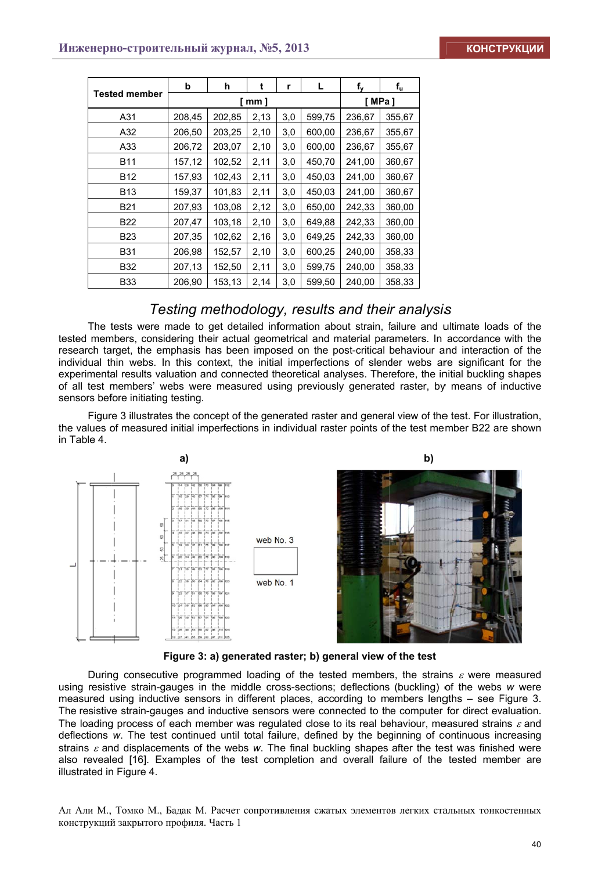|                      | b      | h      | t       | r   | L      | f <sub>y</sub> | $f_u$  |
|----------------------|--------|--------|---------|-----|--------|----------------|--------|
| <b>Tested member</b> |        | [mm]   | [ MPa ] |     |        |                |        |
| A31                  | 208,45 | 202,85 | 2,13    | 3,0 | 599,75 | 236,67         | 355,67 |
| A32                  | 206,50 | 203,25 | 2,10    | 3,0 | 600,00 | 236,67         | 355,67 |
| A33                  | 206,72 | 203,07 | 2,10    | 3,0 | 600,00 | 236,67         | 355,67 |
| B11                  | 157,12 | 102,52 | 2,11    | 3,0 | 450,70 | 241,00         | 360,67 |
| <b>B12</b>           | 157,93 | 102,43 | 2,11    | 3,0 | 450,03 | 241,00         | 360,67 |
| B13                  | 159,37 | 101,83 | 2,11    | 3,0 | 450,03 | 241,00         | 360,67 |
| B21                  | 207,93 | 103,08 | 2,12    | 3,0 | 650,00 | 242,33         | 360,00 |
| B22                  | 207,47 | 103,18 | 2,10    | 3,0 | 649,88 | 242,33         | 360,00 |
| B <sub>23</sub>      | 207,35 | 102,62 | 2,16    | 3,0 | 649,25 | 242,33         | 360,00 |
| <b>B31</b>           | 206,98 | 152,57 | 2,10    | 3,0 | 600,25 | 240,00         | 358,33 |
| B32                  | 207,13 | 152,50 | 2,11    | 3,0 | 599,75 | 240,00         | 358,33 |
| <b>B33</b>           | 206,90 | 153,13 | 2,14    | 3,0 | 599,50 | 240,00         | 358,33 |

### *Testing methodology, results and their analysis*

The tests were made to get detailed information about strain, failure and ultimate loads of the tested members, considering their actual geometrical and material parameters. In accordance with the research target, the emphasis has been imposed on the post-critical behaviour and interaction of the individual thin webs. In this context, the initial imperfections of slender webs are significant for the experimental results valuation and connected theoretical analyses. Therefore, the initial buckling shapes of all test members' webs were measured using previously generated raster, by means of inductive sensors before initiating testing.

Figure 3 illustrates the concept of the generated raster and general view of the test. For illustration, the values of measured initial imperfections in individual raster points of the test member B22 are shown in Table 4.



Figure 3: a) generated raster; b) general view of the test

During consecutive programmed loading of the tested members, the strains  $\varepsilon$  were measured using resistive strain-gauges in the middle cross-sections; deflections (buckling) of the webs w were measured using inductive sensors in different places, according to members lengths – see Figure 3. The resistive strain-gauges and inductive sensors were connected to the computer for direct evaluation. The loading process of each member was regulated close to its real behaviour, measured strains  $\varepsilon$  and deflections w. The test continued until total failure, defined by the beginning of continuous increasing strains  $\varepsilon$  and displacements of the webs w. The final buckling shapes after the test was finished were also revealed [16]. Examples of the test completion and overall failure of the tested member are illustrated in Figure 4.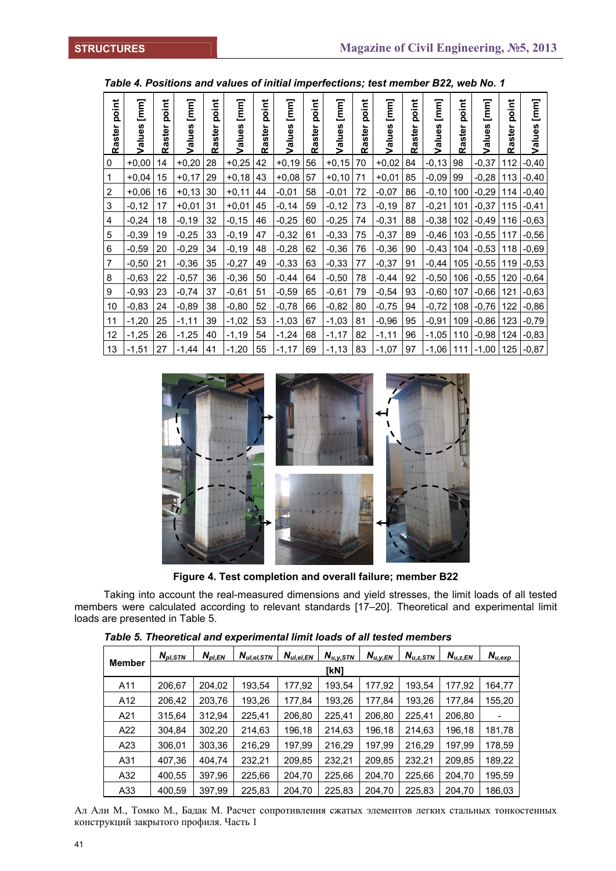| point          | [mm]    | oint<br>ه  | $[mm] % \begin{minipage}[b]{0.45\textwidth} \centering \includegraphics[width=\textwidth]{figs/fig_10.pdf} \caption{The 3D (black) model for the 3D (black) model.} \label{fig:1} \end{minipage} \vspace{0.5cm} \begin{minipage}[b]{0.45\textwidth} \centering \includegraphics[width=\textwidth]{figs/fig_10.pdf} \caption{The 3D (black) model for the 3D (black) model.} \label{fig:1} \end{minipage} \vspace{0.5cm} \begin{minipage}[b]{0.45\textwidth} \centering \includegraphics[width=\textwidth]{figs/fig_10.pdf} \caption{The 3D (black) model for$ | oint<br>ൎ | [mm]       | point     | $\overline{[mm]}$<br><b>S</b> | point     | [mm]<br>ဖာ | point  | $[\mathsf{mm}]$ | point     | $[mm] % \begin{minipage}[b]{0.45\textwidth} \centering \includegraphics[width=\textwidth]{figs/fig_10.pdf} \caption{The 3D (black) model for the 3D (black) model. The 3D (black) model is shown in the left and right.} \label{fig:1} \end{minipage} % \begin{minipage}[b]{0.45\textwidth} \centering \includegraphics[width=\textwidth]{figs/fig_2b.pdf} \caption{The 3D (black) model for the 3D (black) model.} \label{fig:1} \end{minipage} % \begin{minipage}[b]{0.45\textwidth} \centering \includegraphics[width=\textwidth]{figs/fig_2b.pdf} \caption{The 3D (black) model for$ | oint<br>Ō | $[mm] % \begin{minipage}[b]{0.4\linewidth} \centering \includegraphics[width=\linewidth]{images/STN1000.pdf} \caption{The image shows the number of different models. % \label{fig:STN0000} \end{minipage} \vspace{0.05in} \begin{minipage}[b]{0.45\linewidth} \centering \includegraphics[width=\linewidth]{images/STN1000.pdf} \caption{The image shows the number of different models. % \label{fig:STN00000} \end{minipage} \vspace{0.05in} \begin{minipage}[b]{0.45\linewidth} \centering \includegraphics[width=\linewidth]{images/STN10000.pdf} \caption{The image shows the number of different models. % \label{fig:STN$ | oint<br>ه |         |
|----------------|---------|------------|---------------------------------------------------------------------------------------------------------------------------------------------------------------------------------------------------------------------------------------------------------------------------------------------------------------------------------------------------------------------------------------------------------------------------------------------------------------------------------------------------------------------------------------------------------------|-----------|------------|-----------|-------------------------------|-----------|------------|--------|-----------------|-----------|------------------------------------------------------------------------------------------------------------------------------------------------------------------------------------------------------------------------------------------------------------------------------------------------------------------------------------------------------------------------------------------------------------------------------------------------------------------------------------------------------------------------------------------------------------------------------------------|-----------|-----------------------------------------------------------------------------------------------------------------------------------------------------------------------------------------------------------------------------------------------------------------------------------------------------------------------------------------------------------------------------------------------------------------------------------------------------------------------------------------------------------------------------------------------------------------------------------------------------------------------------------|-----------|---------|
| Raster         | alues   | ister<br>œ | Values                                                                                                                                                                                                                                                                                                                                                                                                                                                                                                                                                        | ster<br>œ | alues<br>> | ster<br>œ | Values                        | ster<br>œ | Values     | Raster | Values          | ster<br>Ĕ | Values                                                                                                                                                                                                                                                                                                                                                                                                                                                                                                                                                                                   | ster<br>ឩ | alues<br>>                                                                                                                                                                                                                                                                                                                                                                                                                                                                                                                                                                                                                        | Raster    | Values  |
| 0              | $+0.00$ | 14         | $+0,20$                                                                                                                                                                                                                                                                                                                                                                                                                                                                                                                                                       | 28        | $+0,25$    | 42        | $+0,19$                       | 56        | $+0,15$    | 70     | $+0,02$         | 84        | $-0,13$                                                                                                                                                                                                                                                                                                                                                                                                                                                                                                                                                                                  | 98        | $-0,37$                                                                                                                                                                                                                                                                                                                                                                                                                                                                                                                                                                                                                           | 112       | $-0,40$ |
| 1              | $+0.04$ | 15         | $+0,17$                                                                                                                                                                                                                                                                                                                                                                                                                                                                                                                                                       | 29        | $+0.18$    | 43        | $+0,08$                       | 57        | $+0,10$    | 71     | $+0,01$         | 85        | $-0,09$                                                                                                                                                                                                                                                                                                                                                                                                                                                                                                                                                                                  | 99        | $-0,28$                                                                                                                                                                                                                                                                                                                                                                                                                                                                                                                                                                                                                           | 113       | $-0,40$ |
| $\overline{2}$ | $+0,06$ | 16         | $+0,13$                                                                                                                                                                                                                                                                                                                                                                                                                                                                                                                                                       | 30        | $+0,11$    | 44        | $-0,01$                       | 58        | $-0,01$    | 72     | $-0,07$         | 86        | $-0,10$                                                                                                                                                                                                                                                                                                                                                                                                                                                                                                                                                                                  | 100       | $-0,29$                                                                                                                                                                                                                                                                                                                                                                                                                                                                                                                                                                                                                           | 114       | $-0,40$ |
| 3              | $-0,12$ | 17         | $+0,01$                                                                                                                                                                                                                                                                                                                                                                                                                                                                                                                                                       | 31        | $+0.01$    | 45        | $-0,14$                       | 59        | $-0,12$    | 73     | $-0,19$         | 87        | $-0,21$                                                                                                                                                                                                                                                                                                                                                                                                                                                                                                                                                                                  | 101       | $-0,37$                                                                                                                                                                                                                                                                                                                                                                                                                                                                                                                                                                                                                           | 115       | $-0,41$ |
| 4              | $-0,24$ | 18         | $-0,19$                                                                                                                                                                                                                                                                                                                                                                                                                                                                                                                                                       | 32        | $-0,15$    | 46        | $-0,25$                       | 60        | $-0,25$    | 74     | $-0,31$         | 88        | $-0,38$                                                                                                                                                                                                                                                                                                                                                                                                                                                                                                                                                                                  | 102       | $-0,49$                                                                                                                                                                                                                                                                                                                                                                                                                                                                                                                                                                                                                           | 116       | $-0,63$ |
| 5              | $-0,39$ | 19         | $-0,25$                                                                                                                                                                                                                                                                                                                                                                                                                                                                                                                                                       | 33        | $-0,19$    | 47        | $-0,32$                       | 61        | $-0,33$    | 75     | $-0,37$         | 89        | $-0.46$                                                                                                                                                                                                                                                                                                                                                                                                                                                                                                                                                                                  | 103       | $-0.55$                                                                                                                                                                                                                                                                                                                                                                                                                                                                                                                                                                                                                           | 117       | $-0,56$ |
| 6              | $-0,59$ | 20         | $-0,29$                                                                                                                                                                                                                                                                                                                                                                                                                                                                                                                                                       | 34        | $-0,19$    | 48        | $-0,28$                       | 62        | $-0,36$    | 76     | $-0,36$         | 90        | $-0.43$                                                                                                                                                                                                                                                                                                                                                                                                                                                                                                                                                                                  | 104       | $-0,53$                                                                                                                                                                                                                                                                                                                                                                                                                                                                                                                                                                                                                           | 118       | $-0,69$ |
| $\overline{7}$ | $-0,50$ | 21         | $-0,36$                                                                                                                                                                                                                                                                                                                                                                                                                                                                                                                                                       | 35        | $-0,27$    | 49        | $-0,33$                       | 63        | $-0,33$    | 77     | $-0,37$         | 91        | $-0,44$                                                                                                                                                                                                                                                                                                                                                                                                                                                                                                                                                                                  | 105       | $-0,55$                                                                                                                                                                                                                                                                                                                                                                                                                                                                                                                                                                                                                           | 119       | $-0,53$ |
| 8              | $-0,63$ | 22         | $-0,57$                                                                                                                                                                                                                                                                                                                                                                                                                                                                                                                                                       | 36        | $-0,36$    | 50        | $-0,44$                       | 64        | $-0,50$    | 78     | $-0,44$         | 92        | $-0,50$                                                                                                                                                                                                                                                                                                                                                                                                                                                                                                                                                                                  | 106       | $-0,55$                                                                                                                                                                                                                                                                                                                                                                                                                                                                                                                                                                                                                           | 120       | $-0,64$ |
| 9              | $-0,93$ | 23         | $-0,74$                                                                                                                                                                                                                                                                                                                                                                                                                                                                                                                                                       | 37        | $-0,61$    | 51        | $-0,59$                       | 65        | $-0,61$    | 79     | $-0,54$         | 93        | $-0,60$                                                                                                                                                                                                                                                                                                                                                                                                                                                                                                                                                                                  | 107       | $-0,66$                                                                                                                                                                                                                                                                                                                                                                                                                                                                                                                                                                                                                           | 121       | $-0,63$ |
| 10             | $-0,83$ | 24         | $-0,89$                                                                                                                                                                                                                                                                                                                                                                                                                                                                                                                                                       | 38        | $-0,80$    | 52        | $-0,78$                       | 66        | $-0,82$    | 80     | $-0,75$         | 94        | $-0,72$                                                                                                                                                                                                                                                                                                                                                                                                                                                                                                                                                                                  | 108       | $-0,76$                                                                                                                                                                                                                                                                                                                                                                                                                                                                                                                                                                                                                           | 122       | $-0,86$ |
| 11             | $-1,20$ | 25         | $-1,11$                                                                                                                                                                                                                                                                                                                                                                                                                                                                                                                                                       | 39        | $-1,02$    | 53        | $-1,03$                       | 67        | $-1,03$    | 81     | $-0,96$         | 95        | $-0,91$                                                                                                                                                                                                                                                                                                                                                                                                                                                                                                                                                                                  | 109       | $-0,86$                                                                                                                                                                                                                                                                                                                                                                                                                                                                                                                                                                                                                           | 123       | $-0,79$ |
| 12             | $-1,25$ | 26         | $-1,25$                                                                                                                                                                                                                                                                                                                                                                                                                                                                                                                                                       | 40        | $-1,19$    | 54        | $-1,24$                       | 68        | $-1,17$    | 82     | $-1,11$         | 96        | $-1,05$                                                                                                                                                                                                                                                                                                                                                                                                                                                                                                                                                                                  | 110       | $-0,98$                                                                                                                                                                                                                                                                                                                                                                                                                                                                                                                                                                                                                           | 124       | $-0,83$ |
| 13             | $-1,51$ | 27         | $-1,44$                                                                                                                                                                                                                                                                                                                                                                                                                                                                                                                                                       | 41        | $-1,20$    | 55        | $-1,17$                       | 69        | $-1,13$    | 83     | $-1,07$         | 97        | $-1,06$                                                                                                                                                                                                                                                                                                                                                                                                                                                                                                                                                                                  | 111       | $-1,00$                                                                                                                                                                                                                                                                                                                                                                                                                                                                                                                                                                                                                           | 125       | $-0.87$ |



**Figure 4. Test completion and overall failure; member B22** 

Taking into account the real-measured dimensions and yield stresses, the limit loads of all tested members were calculated according to relevant standards [17–20]. Theoretical and experimental limit loads are presented in Table 5.

|               | N <sub>pl,STN</sub> | $N_{\mathit{pl},\mathit{EN}}$ | $N_{\text{\tiny{ul,el,STN}}}$ | $N_{ul,el,EN}$ | $N_{u,y,\underline{STN}}$ | $N_{u, \underline{y, EN}}$ | $N_{u,z,\underline{STN}}$ | $N_{u,z,EN}$ | $N_{u,exp}$ |  |  |  |  |  |
|---------------|---------------------|-------------------------------|-------------------------------|----------------|---------------------------|----------------------------|---------------------------|--------------|-------------|--|--|--|--|--|
| <b>Member</b> |                     | [kN]                          |                               |                |                           |                            |                           |              |             |  |  |  |  |  |
| A11           | 206,67              | 204,02                        | 193,54                        | 177,92         | 193,54                    | 177,92                     | 193,54                    | 177,92       | 164,77      |  |  |  |  |  |
| A12           | 206,42              | 203,76                        | 193,26                        | 177,84         | 193,26                    | 177,84                     | 193,26                    | 177,84       | 155,20      |  |  |  |  |  |
| A21           | 315,64              | 312,94                        | 225.41                        | 206,80         | 225.41                    | 206,80                     | 225.41                    | 206,80       |             |  |  |  |  |  |
| A22           | 304.84              | 302,20                        | 214,63                        | 196,18         | 214,63                    | 196,18                     | 214,63                    | 196,18       | 181,78      |  |  |  |  |  |
| A23           | 306,01              | 303,36                        | 216,29                        | 197.99         | 216,29                    | 197,99                     | 216,29                    | 197,99       | 178,59      |  |  |  |  |  |
| A31           | 407,36              | 404,74                        | 232,21                        | 209,85         | 232,21                    | 209,85                     | 232,21                    | 209,85       | 189,22      |  |  |  |  |  |
| A32           | 400,55              | 397,96                        | 225,66                        | 204,70         | 225,66                    | 204,70                     | 225,66                    | 204,70       | 195,59      |  |  |  |  |  |
| A33           | 400,59              | 397,99                        | 225,83                        | 204,70         | 225,83                    | 204,70                     | 225,83                    | 204,70       | 186,03      |  |  |  |  |  |

*Table 5. Theoretical and experimental limit loads of all tested members*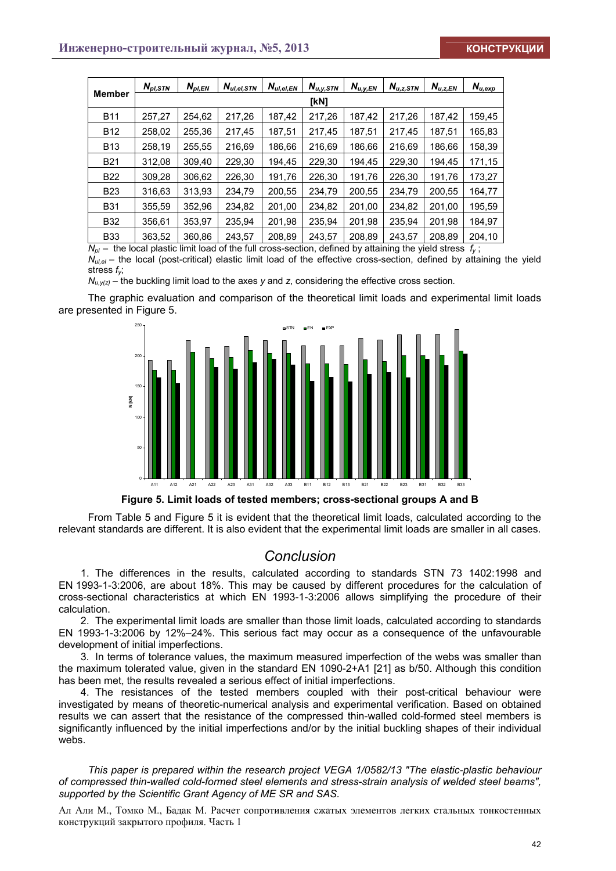|               | $N_{\textit{\tiny{DI}}},$ stn | $N_{pl,EN}$ | $N_{ul,el,STN}$ | $N_{ul,el,EN}$ | $N_{u,y,STN}$ | $N_{u,y,EN}$ | $N_{u,z,STN}$ | $N_{u,z,EN}$ | $\textit{N}_{u,\mathrm{exp}}$ |  |  |  |  |
|---------------|-------------------------------|-------------|-----------------|----------------|---------------|--------------|---------------|--------------|-------------------------------|--|--|--|--|
| <b>Member</b> | [kN]                          |             |                 |                |               |              |               |              |                               |  |  |  |  |
| <b>B11</b>    | 257,27                        | 254.62      | 217.26          | 187.42         | 217,26        | 187.42       | 217.26        | 187.42       | 159,45                        |  |  |  |  |
| <b>B12</b>    | 258,02                        | 255.36      | 217.45          | 187,51         | 217.45        | 187,51       | 217,45        | 187.51       | 165,83                        |  |  |  |  |
| <b>B13</b>    | 258,19                        | 255,55      | 216,69          | 186,66         | 216,69        | 186,66       | 216,69        | 186,66       | 158,39                        |  |  |  |  |
| <b>B21</b>    | 312,08                        | 309,40      | 229,30          | 194,45         | 229,30        | 194,45       | 229,30        | 194.45       | 171,15                        |  |  |  |  |
| <b>B22</b>    | 309,28                        | 306,62      | 226,30          | 191.76         | 226.30        | 191,76       | 226.30        | 191.76       | 173,27                        |  |  |  |  |
| <b>B23</b>    | 316,63                        | 313,93      | 234,79          | 200,55         | 234,79        | 200,55       | 234,79        | 200,55       | 164,77                        |  |  |  |  |
| <b>B31</b>    | 355,59                        | 352,96      | 234,82          | 201,00         | 234,82        | 201,00       | 234,82        | 201,00       | 195,59                        |  |  |  |  |
| <b>B32</b>    | 356.61                        | 353.97      | 235.94          | 201.98         | 235.94        | 201,98       | 235.94        | 201.98       | 184.97                        |  |  |  |  |
| <b>B33</b>    | 363,52                        | 360,86      | 243,57          | 208,89         | 243,57        | 208,89       | 243.57        | 208,89       | 204,10                        |  |  |  |  |

 $N_{pl}$  – the local plastic limit load of the full cross-section, defined by attaining the yield stress  $f<sub>v</sub>$ ;

 $N_{ul,el}$  – the local (post-critical) elastic limit load of the effective cross-section, defined by attaining the yield stress *fy*;

*Nu,y(z)* – the buckling limit load to the axes *y* and *z*, considering the effective cross section*.*

The graphic evaluation and comparison of the theoretical limit loads and experimental limit loads are presented in Figure 5.



**Figure 5. Limit loads of tested members; cross-sectional groups A and B** 

From Table 5 and Figure 5 it is evident that the theoretical limit loads, calculated according to the relevant standards are different. It is also evident that the experimental limit loads are smaller in all cases.

## *Conclusion*

1. The differences in the results, calculated according to standards STN 73 1402:1998 and EN 1993-1-3:2006, are about 18%. This may be caused by different procedures for the calculation of cross-sectional characteristics at which EN 1993-1-3:2006 allows simplifying the procedure of their calculation.

2. The experimental limit loads are smaller than those limit loads, calculated according to standards EN 1993-1-3:2006 by 12%–24%. This serious fact may occur as a consequence of the unfavourable development of initial imperfections.

3. In terms of tolerance values, the maximum measured imperfection of the webs was smaller than the maximum tolerated value, given in the standard EN 1090-2+A1 [21] as b/50. Although this condition has been met, the results revealed a serious effect of initial imperfections.

4. The resistances of the tested members coupled with their post-critical behaviour were investigated by means of theoretic-numerical analysis and experimental verification. Based on obtained results we can assert that the resistance of the compressed thin-walled cold-formed steel members is significantly influenced by the initial imperfections and/or by the initial buckling shapes of their individual webs.

*This paper is prepared within the research project VEGA 1/0582/13 "The elastic-plastic behaviour of compressed thin-walled cold-formed steel elements and stress-strain analysis of welded steel beams", supported by the Scientific Grant Agency of ME SR and SAS.*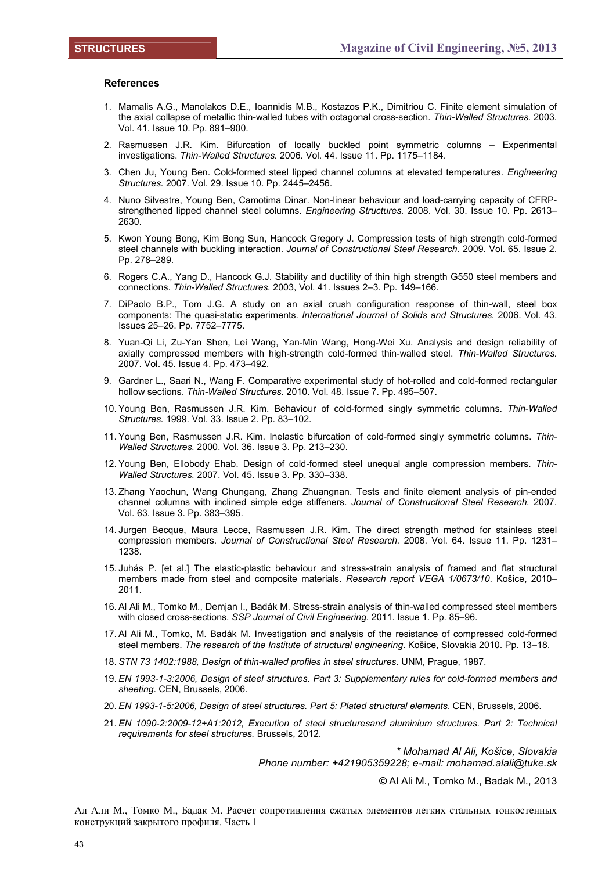#### **References**

- 1. Mamalis A.G., Manolakos D.E., Ioannidis M.B., Kostazos P.K., Dimitriou C. Finite element simulation of the axial collapse of metallic thin-walled tubes with octagonal cross-section. *Thin-Walled Structures.* 2003. Vol. 41. Issue 10. Pp. 891–900.
- 2. Rasmussen J.R. Kim. Bifurcation of locally buckled point symmetric columns Experimental investigations. *Thin-Walled Structures.* 2006. Vol. 44. Issue 11. Pp. 1175–1184.
- 3. Chen Ju, Young Ben. Cold-formed steel lipped channel columns at elevated temperatures. *Engineering Structures.* 2007. Vol. 29. Issue 10. Pp. 2445–2456.
- 4. Nuno Silvestre, Young Ben, Camotima Dinar. Non-linear behaviour and load-carrying capacity of CFRPstrengthened lipped channel steel columns. *Engineering Structures.* 2008. Vol. 30. Issue 10. Pp. 2613– 2630.
- 5. Kwon Young Bong, Kim Bong Sun, Hancock Gregory J. Compression tests of high strength cold-formed steel channels with buckling interaction. *Journal of Constructional Steel Research.* 2009. Vol. 65. Issue 2. Pp. 278–289.
- 6. Rogers C.A., Yang D., Hancock G.J. Stability and ductility of thin high strength G550 steel members and connections. *Thin-Walled Structures.* 2003, Vol. 41. Issues 2–3. Pp. 149–166.
- 7. DiPaolo B.P., Tom J.G. A study on an axial crush configuration response of thin-wall, steel box components: The quasi-static experiments. *International Journal of Solids and Structures.* 2006. Vol. 43. Issues 25–26. Pp. 7752–7775.
- 8. Yuan-Qi Li, Zu-Yan Shen, Lei Wang, Yan-Min Wang, Hong-Wei Xu. Analysis and design reliability of axially compressed members with high-strength cold-formed thin-walled steel. *Thin-Walled Structures.*  2007. Vol. 45. Issue 4. Pp. 473–492.
- 9. Gardner L., Saari N., Wang F. Comparative experimental study of hot-rolled and cold-formed rectangular hollow sections. *Thin-Walled Structures.* 2010. Vol. 48. Issue 7. Pp. 495–507.
- 10. Young Ben, Rasmussen J.R. Kim. Behaviour of cold-formed singly symmetric columns. *Thin-Walled Structures.* 1999. Vol. 33. Issue 2. Pp. 83–102.
- 11. Young Ben, Rasmussen J.R. Kim. Inelastic bifurcation of cold-formed singly symmetric columns. *Thin-Walled Structures.* 2000. Vol. 36. Issue 3. Pp. 213–230.
- 12. Young Ben, Ellobody Ehab. Design of cold-formed steel unequal angle compression members. *Thin-Walled Structures.* 2007. Vol. 45. Issue 3. Pp. 330–338.
- 13. Zhang Yaochun, Wang Chungang, Zhang Zhuangnan. Tests and finite element analysis of pin-ended channel columns with inclined simple edge stiffeners. *Journal of Constructional Steel Research.* 2007. Vol. 63. Issue 3. Pp. 383–395.
- 14. Jurgen Becque, Maura Lecce, Rasmussen J.R. Kim. The direct strength method for stainless steel compression members. *Journal of Constructional Steel Research.* 2008. Vol. 64. Issue 11. Pp. 1231– 1238.
- 15. Juhás P. [et al.] The elastic-plastic behaviour and stress-strain analysis of framed and flat structural members made from steel and composite materials. *Research report VEGA 1/0673/10*. Košice, 2010– 2011.
- 16. Al Ali M., Tomko M., Demjan I., Badák M. Stress-strain analysis of thin-walled compressed steel members with closed cross-sections. *SSP Journal of Civil Engineering*. 2011. Issue 1. Pp. 85–96.
- 17. Al Ali M., Tomko, M. Badák M. Investigation and analysis of the resistance of compressed cold-formed steel members. *The research of the Institute of structural engineering*. Košice, Slovakia 2010. Pp. 13–18.
- 18. *STN 73 1402:1988, Design of thin-walled profiles in steel structures*. UNM, Prague, 1987.
- 19. *EN 1993-1-3:2006, Design of steel structures. Part 3: Supplementary rules for cold-formed members and sheeting*. CEN, Brussels, 2006.
- 20. *EN 1993-1-5:2006, Design of steel structures. Part 5: Plated structural elements*. CEN, Brussels, 2006.
- 21. *EN 1090-2:2009-12+A1:2012, Execution of steel structuresand aluminium structures. Part 2: Technical requirements for steel structures.* Brussels, 2012.

*\* Mohamad Al Ali, Košice, Slovakia Phone number: +421905359228; e-mail: mohamad.alali@tuke.sk* 

*©* Al Ali M., Tomko M., Badak M., 2013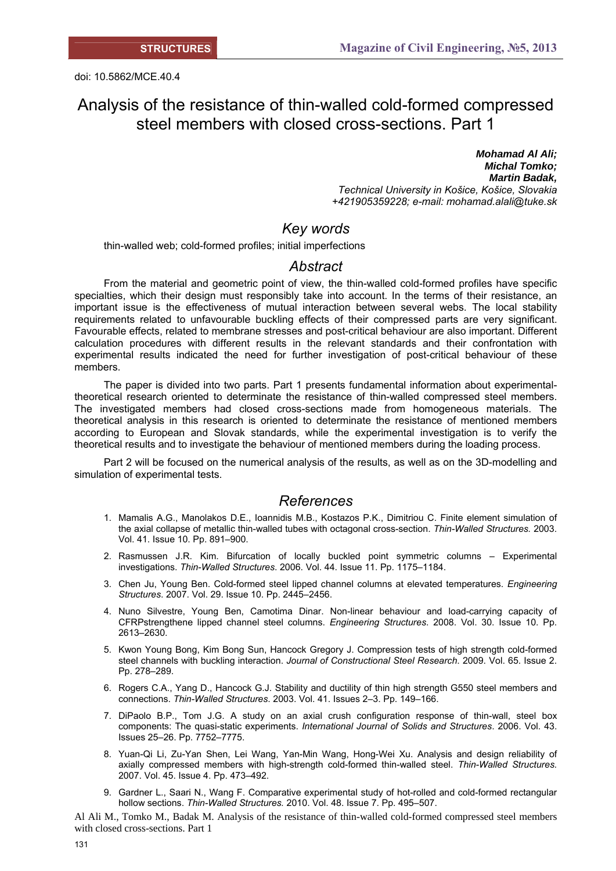doi: 10.5862/MCE.40.4

# Analysis of the resistance of thin-walled cold-formed compressed steel members with closed cross-sections. Part 1

*Mohamad Al Ali; Michal Tomko; Martin Badak, Technical University in Košice, Košice, Slovakia +421905359228; e-mail: mohamad.alali@tuke.sk* 

## *Key words*

thin-walled web; cold-formed profiles; initial imperfections

### *Abstract*

From the material and geometric point of view, the thin-walled cold-formed profiles have specific specialties, which their design must responsibly take into account. In the terms of their resistance, an important issue is the effectiveness of mutual interaction between several webs. The local stability requirements related to unfavourable buckling effects of their compressed parts are very significant. Favourable effects, related to membrane stresses and post-critical behaviour are also important. Different calculation procedures with different results in the relevant standards and their confrontation with experimental results indicated the need for further investigation of post-critical behaviour of these members.

The paper is divided into two parts. Part 1 presents fundamental information about experimentaltheoretical research oriented to determinate the resistance of thin-walled compressed steel members. The investigated members had closed cross-sections made from homogeneous materials. The theoretical analysis in this research is oriented to determinate the resistance of mentioned members according to European and Slovak standards, while the experimental investigation is to verify the theoretical results and to investigate the behaviour of mentioned members during the loading process.

Part 2 will be focused on the numerical analysis of the results, as well as on the 3D-modelling and simulation of experimental tests.

### *References*

- 1. Mamalis A.G., Manolakos D.E., Ioannidis M.B., Kostazos P.K., Dimitriou C. Finite element simulation of the axial collapse of metallic thin-walled tubes with octagonal cross-section. *Thin-Walled Structures.* 2003. Vol. 41. Issue 10. Pp. 891–900.
- 2. Rasmussen J.R. Kim. Bifurcation of locally buckled point symmetric columns Experimental investigations. *Thin-Walled Structures*. 2006. Vol. 44. Issue 11. Pp. 1175–1184.
- 3. Chen Ju, Young Ben. Cold-formed steel lipped channel columns at elevated temperatures. *Engineering Structures*. 2007. Vol. 29. Issue 10. Pp. 2445–2456.
- 4. Nuno Silvestre, Young Ben, Camotima Dinar. Non-linear behaviour and load-carrying capacity of CFRPstrengthene lipped channel steel columns. *Engineering Structures*. 2008. Vol. 30. Issue 10. Pp. 2613–2630.
- 5. Kwon Young Bong, Kim Bong Sun, Hancock Gregory J. Compression tests of high strength cold-formed steel channels with buckling interaction. *Journal of Constructional Steel Research*. 2009. Vol. 65. Issue 2. Pp. 278–289.
- 6. Rogers C.A., Yang D., Hancock G.J. Stability and ductility of thin high strength G550 steel members and connections. *Thin-Walled Structures*. 2003. Vol. 41. Issues 2–3. Pp. 149–166.
- 7. DiPaolo B.P., Tom J.G. A study on an axial crush configuration response of thin-wall, steel box components: The quasi-static experiments. *International Journal of Solids and Structures*. 2006. Vol. 43. Issues 25–26. Pp. 7752–7775.
- 8. Yuan-Qi Li, Zu-Yan Shen, Lei Wang, Yan-Min Wang, Hong-Wei Xu. Analysis and design reliability of axially compressed members with high-strength cold-formed thin-walled steel. *Thin-Walled Structures.*  2007. Vol. 45. Issue 4. Pp. 473–492.
- 9. Gardner L., Saari N., Wang F. Comparative experimental study of hot-rolled and cold-formed rectangular hollow sections. *Thin-Walled Structures.* 2010. Vol. 48. Issue 7. Pp. 495–507.

Al Ali M., Tomko M., Badak M. Analysis of the resistance of thin-walled cold-formed compressed steel members with closed cross-sections. Part 1